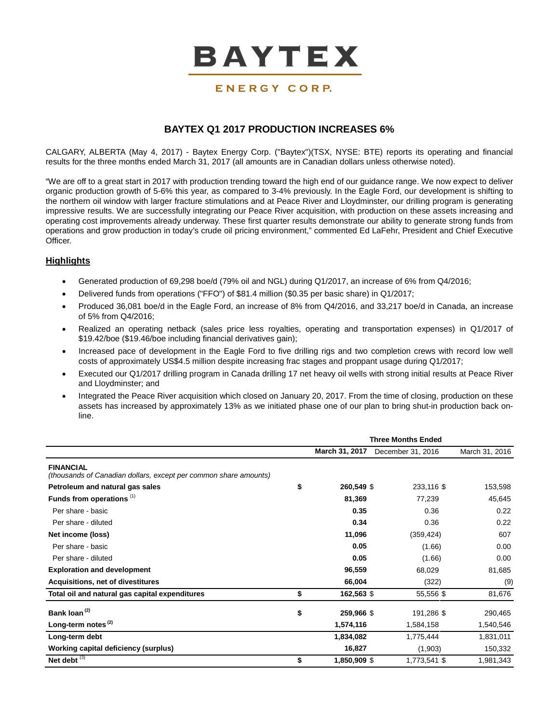

# ENERGY CORP.

# **BAYTEX Q1 2017 PRODUCTION INCREASES 6%**

CALGARY, ALBERTA (May 4, 2017) - Baytex Energy Corp. ("Baytex")(TSX, NYSE: BTE) reports its operating and financial results for the three months ended March 31, 2017 (all amounts are in Canadian dollars unless otherwise noted).

"We are off to a great start in 2017 with production trending toward the high end of our guidance range. We now expect to deliver organic production growth of 5-6% this year, as compared to 3-4% previously. In the Eagle Ford, our development is shifting to the northern oil window with larger fracture stimulations and at Peace River and Lloydminster, our drilling program is generating impressive results. We are successfully integrating our Peace River acquisition, with production on these assets increasing and operating cost improvements already underway. These first quarter results demonstrate our ability to generate strong funds from operations and grow production in today's crude oil pricing environment," commented Ed LaFehr, President and Chief Executive Officer.

# **Highlights**

- Generated production of 69,298 boe/d (79% oil and NGL) during Q1/2017, an increase of 6% from Q4/2016;
- Delivered funds from operations ("FFO") of \$81.4 million (\$0.35 per basic share) in Q1/2017;
- Produced 36,081 boe/d in the Eagle Ford, an increase of 8% from Q4/2016, and 33,217 boe/d in Canada, an increase of 5% from Q4/2016;
- Realized an operating netback (sales price less royalties, operating and transportation expenses) in Q1/2017 of \$19.42/boe (\$19.46/boe including financial derivatives gain);
- Increased pace of development in the Eagle Ford to five drilling rigs and two completion crews with record low well costs of approximately US\$4.5 million despite increasing frac stages and proppant usage during Q1/2017;
- Executed our Q1/2017 drilling program in Canada drilling 17 net heavy oil wells with strong initial results at Peace River and Lloydminster; and
- Integrated the Peace River acquisition which closed on January 20, 2017. From the time of closing, production on these assets has increased by approximately 13% as we initiated phase one of our plan to bring shut-in production back online.

|                                                                                      | <b>Three Months Ended</b> |                   |                |  |  |
|--------------------------------------------------------------------------------------|---------------------------|-------------------|----------------|--|--|
|                                                                                      | March 31, 2017            | December 31, 2016 | March 31, 2016 |  |  |
| <b>FINANCIAL</b><br>(thousands of Canadian dollars, except per common share amounts) |                           |                   |                |  |  |
| Petroleum and natural gas sales                                                      | \$<br>260,549 \$          | 233,116 \$        | 153,598        |  |  |
| Funds from operations <sup>(1)</sup>                                                 | 81,369                    | 77,239            | 45,645         |  |  |
| Per share - basic                                                                    | 0.35                      | 0.36              | 0.22           |  |  |
| Per share - diluted                                                                  | 0.34                      | 0.36              | 0.22           |  |  |
| Net income (loss)                                                                    | 11,096                    | (359, 424)        | 607            |  |  |
| Per share - basic                                                                    | 0.05                      | (1.66)            | 0.00           |  |  |
| Per share - diluted                                                                  | 0.05                      | (1.66)            | 0.00           |  |  |
| <b>Exploration and development</b>                                                   | 96,559                    | 68,029            | 81,685         |  |  |
| Acquisitions, net of divestitures                                                    | 66,004                    | (322)             | (9)            |  |  |
| Total oil and natural gas capital expenditures                                       | \$<br>162,563 \$          | 55,556 \$         | 81,676         |  |  |
| Bank loan <sup>(2)</sup>                                                             | \$<br>259,966 \$          | 191,286 \$        | 290,465        |  |  |
| Long-term notes <sup>(2)</sup>                                                       | 1,574,116                 | 1,584,158         | 1,540,546      |  |  |
| Long-term debt                                                                       | 1,834,082                 | 1,775,444         | 1,831,011      |  |  |
| Working capital deficiency (surplus)                                                 | 16,827                    | (1,903)           | 150,332        |  |  |
| Net debt $\overline{^{(3)}}$                                                         | \$<br>1,850,909 \$        | 1,773,541 \$      | 1,981,343      |  |  |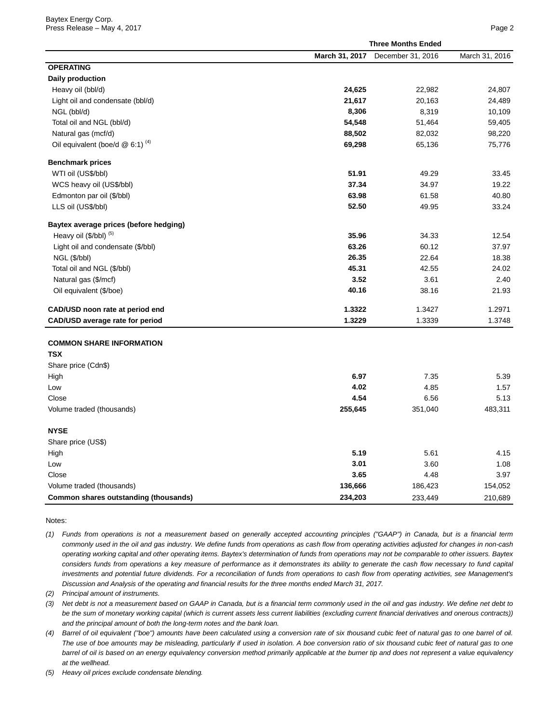|                                             | <b>Three Months Ended</b> |                   |                |  |  |
|---------------------------------------------|---------------------------|-------------------|----------------|--|--|
|                                             | March 31, 2017            | December 31, 2016 | March 31, 2016 |  |  |
| <b>OPERATING</b>                            |                           |                   |                |  |  |
| <b>Daily production</b>                     |                           |                   |                |  |  |
| Heavy oil (bbl/d)                           | 24,625                    | 22,982            | 24,807         |  |  |
| Light oil and condensate (bbl/d)            | 21,617                    | 20,163            | 24,489         |  |  |
| NGL (bbl/d)                                 | 8,306                     | 8,319             | 10,109         |  |  |
| Total oil and NGL (bbl/d)                   | 54,548                    | 51,464            | 59,405         |  |  |
| Natural gas (mcf/d)                         | 88,502                    | 82,032            | 98,220         |  |  |
| Oil equivalent (boe/d @ 6:1) <sup>(4)</sup> | 69,298                    | 65,136            | 75,776         |  |  |
| <b>Benchmark prices</b>                     |                           |                   |                |  |  |
| WTI oil (US\$/bbl)                          | 51.91                     | 49.29             | 33.45          |  |  |
| WCS heavy oil (US\$/bbl)                    | 37.34                     | 34.97             | 19.22          |  |  |
| Edmonton par oil (\$/bbl)                   | 63.98                     | 61.58             | 40.80          |  |  |
| LLS oil (US\$/bbl)                          | 52.50                     | 49.95             | 33.24          |  |  |
| Baytex average prices (before hedging)      |                           |                   |                |  |  |
| Heavy oil (\$/bbl) (5)                      | 35.96                     | 34.33             | 12.54          |  |  |
| Light oil and condensate (\$/bbl)           | 63.26                     | 60.12             | 37.97          |  |  |
| NGL (\$/bbl)                                | 26.35                     | 22.64             | 18.38          |  |  |
| Total oil and NGL (\$/bbl)                  | 45.31                     | 42.55             | 24.02          |  |  |
| Natural gas (\$/mcf)                        | 3.52                      | 3.61              | 2.40           |  |  |
| Oil equivalent (\$/boe)                     | 40.16                     | 38.16             | 21.93          |  |  |
| CAD/USD noon rate at period end             | 1.3322                    | 1.3427            | 1.2971         |  |  |
| CAD/USD average rate for period             | 1.3229                    | 1.3339            | 1.3748         |  |  |
| <b>COMMON SHARE INFORMATION</b>             |                           |                   |                |  |  |
| <b>TSX</b>                                  |                           |                   |                |  |  |
| Share price (Cdn\$)                         |                           |                   |                |  |  |
| High                                        | 6.97                      | 7.35              | 5.39           |  |  |
| Low                                         | 4.02                      | 4.85              | 1.57           |  |  |
| Close                                       | 4.54                      | 6.56              | 5.13           |  |  |
| Volume traded (thousands)                   | 255,645                   | 351,040           | 483,311        |  |  |
| <b>NYSE</b>                                 |                           |                   |                |  |  |
| Share price (US\$)                          |                           |                   |                |  |  |
| High                                        | 5.19                      | 5.61              | 4.15           |  |  |
| Low                                         | 3.01                      | 3.60              | 1.08           |  |  |
| Close                                       | 3.65                      | 4.48              | 3.97           |  |  |
| Volume traded (thousands)                   | 136,666                   | 186,423           | 154,052        |  |  |
| Common shares outstanding (thousands)       | 234,203                   | 233,449           | 210,689        |  |  |

Notes:

*(1) Funds from operations is not a measurement based on generally accepted accounting principles ("GAAP") in Canada, but is a financial term commonly used in the oil and gas industry. We define funds from operations as cash flow from operating activities adjusted for changes in non-cash operating working capital and other operating items. Baytex's determination of funds from operations may not be comparable to other issuers. Baytex considers funds from operations a key measure of performance as it demonstrates its ability to generate the cash flow necessary to fund capital*  investments and potential future dividends. For a reconciliation of funds from operations to cash flow from operating activities, see Management's *Discussion and Analysis of the operating and financial results for the three months ended March 31, 2017.*

*(2) Principal amount of instruments.*

*(3) Net debt is not a measurement based on GAAP in Canada, but is a financial term commonly used in the oil and gas industry. We define net debt to be the sum of monetary working capital (which is current assets less current liabilities (excluding current financial derivatives and onerous contracts)) and the principal amount of both the long-term notes and the bank loan.*

*(4) Barrel of oil equivalent ("boe") amounts have been calculated using a conversion rate of six thousand cubic feet of natural gas to one barrel of oil. The use of boe amounts may be misleading, particularly if used in isolation. A boe conversion ratio of six thousand cubic feet of natural gas to one barrel of oil is based on an energy equivalency conversion method primarily applicable at the burner tip and does not represent a value equivalency at the wellhead.* 

*(5) Heavy oil prices exclude condensate blending.*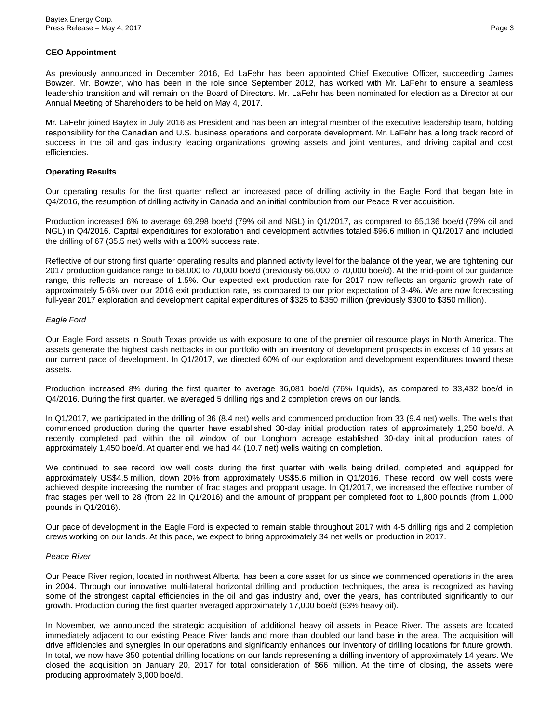## **CEO Appointment**

As previously announced in December 2016, Ed LaFehr has been appointed Chief Executive Officer, succeeding James Bowzer. Mr. Bowzer, who has been in the role since September 2012, has worked with Mr. LaFehr to ensure a seamless leadership transition and will remain on the Board of Directors. Mr. LaFehr has been nominated for election as a Director at our Annual Meeting of Shareholders to be held on May 4, 2017.

Mr. LaFehr joined Baytex in July 2016 as President and has been an integral member of the executive leadership team, holding responsibility for the Canadian and U.S. business operations and corporate development. Mr. LaFehr has a long track record of success in the oil and gas industry leading organizations, growing assets and joint ventures, and driving capital and cost efficiencies.

# **Operating Results**

Our operating results for the first quarter reflect an increased pace of drilling activity in the Eagle Ford that began late in Q4/2016, the resumption of drilling activity in Canada and an initial contribution from our Peace River acquisition.

Production increased 6% to average 69,298 boe/d (79% oil and NGL) in Q1/2017, as compared to 65,136 boe/d (79% oil and NGL) in Q4/2016. Capital expenditures for exploration and development activities totaled \$96.6 million in Q1/2017 and included the drilling of 67 (35.5 net) wells with a 100% success rate.

Reflective of our strong first quarter operating results and planned activity level for the balance of the year, we are tightening our 2017 production guidance range to 68,000 to 70,000 boe/d (previously 66,000 to 70,000 boe/d). At the mid-point of our guidance range, this reflects an increase of 1.5%. Our expected exit production rate for 2017 now reflects an organic growth rate of approximately 5-6% over our 2016 exit production rate, as compared to our prior expectation of 3-4%. We are now forecasting full-year 2017 exploration and development capital expenditures of \$325 to \$350 million (previously \$300 to \$350 million).

## *Eagle Ford*

Our Eagle Ford assets in South Texas provide us with exposure to one of the premier oil resource plays in North America. The assets generate the highest cash netbacks in our portfolio with an inventory of development prospects in excess of 10 years at our current pace of development. In Q1/2017, we directed 60% of our exploration and development expenditures toward these assets.

Production increased 8% during the first quarter to average 36,081 boe/d (76% liquids), as compared to 33,432 boe/d in Q4/2016. During the first quarter, we averaged 5 drilling rigs and 2 completion crews on our lands.

In Q1/2017, we participated in the drilling of 36 (8.4 net) wells and commenced production from 33 (9.4 net) wells. The wells that commenced production during the quarter have established 30-day initial production rates of approximately 1,250 boe/d. A recently completed pad within the oil window of our Longhorn acreage established 30-day initial production rates of approximately 1,450 boe/d. At quarter end, we had 44 (10.7 net) wells waiting on completion.

We continued to see record low well costs during the first quarter with wells being drilled, completed and equipped for approximately US\$4.5 million, down 20% from approximately US\$5.6 million in Q1/2016. These record low well costs were achieved despite increasing the number of frac stages and proppant usage. In Q1/2017, we increased the effective number of frac stages per well to 28 (from 22 in Q1/2016) and the amount of proppant per completed foot to 1,800 pounds (from 1,000 pounds in Q1/2016).

Our pace of development in the Eagle Ford is expected to remain stable throughout 2017 with 4-5 drilling rigs and 2 completion crews working on our lands. At this pace, we expect to bring approximately 34 net wells on production in 2017.

### *Peace River*

Our Peace River region, located in northwest Alberta, has been a core asset for us since we commenced operations in the area in 2004. Through our innovative multi-lateral horizontal drilling and production techniques, the area is recognized as having some of the strongest capital efficiencies in the oil and gas industry and, over the years, has contributed significantly to our growth. Production during the first quarter averaged approximately 17,000 boe/d (93% heavy oil).

In November, we announced the strategic acquisition of additional heavy oil assets in Peace River. The assets are located immediately adjacent to our existing Peace River lands and more than doubled our land base in the area. The acquisition will drive efficiencies and synergies in our operations and significantly enhances our inventory of drilling locations for future growth. In total, we now have 350 potential drilling locations on our lands representing a drilling inventory of approximately 14 years. We closed the acquisition on January 20, 2017 for total consideration of \$66 million. At the time of closing, the assets were producing approximately 3,000 boe/d.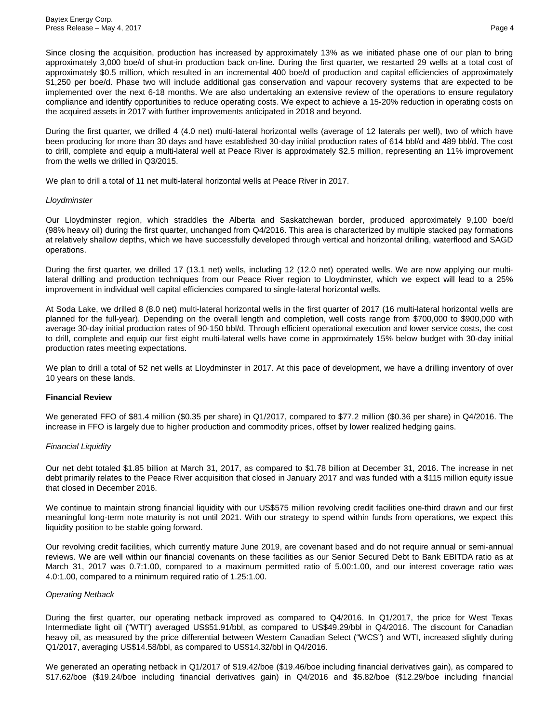Since closing the acquisition, production has increased by approximately 13% as we initiated phase one of our plan to bring approximately 3,000 boe/d of shut-in production back on-line. During the first quarter, we restarted 29 wells at a total cost of approximately \$0.5 million, which resulted in an incremental 400 boe/d of production and capital efficiencies of approximately \$1,250 per boe/d. Phase two will include additional gas conservation and vapour recovery systems that are expected to be implemented over the next 6-18 months. We are also undertaking an extensive review of the operations to ensure regulatory compliance and identify opportunities to reduce operating costs. We expect to achieve a 15-20% reduction in operating costs on the acquired assets in 2017 with further improvements anticipated in 2018 and beyond.

During the first quarter, we drilled 4 (4.0 net) multi-lateral horizontal wells (average of 12 laterals per well), two of which have been producing for more than 30 days and have established 30-day initial production rates of 614 bbl/d and 489 bbl/d. The cost to drill, complete and equip a multi-lateral well at Peace River is approximately \$2.5 million, representing an 11% improvement from the wells we drilled in Q3/2015.

We plan to drill a total of 11 net multi-lateral horizontal wells at Peace River in 2017.

#### *Lloydminster*

Our Lloydminster region, which straddles the Alberta and Saskatchewan border, produced approximately 9,100 boe/d (98% heavy oil) during the first quarter, unchanged from Q4/2016. This area is characterized by multiple stacked pay formations at relatively shallow depths, which we have successfully developed through vertical and horizontal drilling, waterflood and SAGD operations.

During the first quarter, we drilled 17 (13.1 net) wells, including 12 (12.0 net) operated wells. We are now applying our multilateral drilling and production techniques from our Peace River region to Lloydminster, which we expect will lead to a 25% improvement in individual well capital efficiencies compared to single-lateral horizontal wells.

At Soda Lake, we drilled 8 (8.0 net) multi-lateral horizontal wells in the first quarter of 2017 (16 multi-lateral horizontal wells are planned for the full-year). Depending on the overall length and completion, well costs range from \$700,000 to \$900,000 with average 30-day initial production rates of 90-150 bbl/d. Through efficient operational execution and lower service costs, the cost to drill, complete and equip our first eight multi-lateral wells have come in approximately 15% below budget with 30-day initial production rates meeting expectations.

We plan to drill a total of 52 net wells at Lloydminster in 2017. At this pace of development, we have a drilling inventory of over 10 years on these lands.

### **Financial Review**

We generated FFO of \$81.4 million (\$0.35 per share) in Q1/2017, compared to \$77.2 million (\$0.36 per share) in Q4/2016. The increase in FFO is largely due to higher production and commodity prices, offset by lower realized hedging gains.

#### *Financial Liquidity*

Our net debt totaled \$1.85 billion at March 31, 2017, as compared to \$1.78 billion at December 31, 2016. The increase in net debt primarily relates to the Peace River acquisition that closed in January 2017 and was funded with a \$115 million equity issue that closed in December 2016.

We continue to maintain strong financial liquidity with our US\$575 million revolving credit facilities one-third drawn and our first meaningful long-term note maturity is not until 2021. With our strategy to spend within funds from operations, we expect this liquidity position to be stable going forward.

Our revolving credit facilities, which currently mature June 2019, are covenant based and do not require annual or semi-annual reviews. We are well within our financial covenants on these facilities as our Senior Secured Debt to Bank EBITDA ratio as at March 31, 2017 was 0.7:1.00, compared to a maximum permitted ratio of 5.00:1.00, and our interest coverage ratio was 4.0:1.00, compared to a minimum required ratio of 1.25:1.00.

### *Operating Netback*

During the first quarter, our operating netback improved as compared to Q4/2016. In Q1/2017, the price for West Texas Intermediate light oil ("WTI") averaged US\$51.91/bbl, as compared to US\$49.29/bbl in Q4/2016. The discount for Canadian heavy oil, as measured by the price differential between Western Canadian Select ("WCS") and WTI, increased slightly during Q1/2017, averaging US\$14.58/bbl, as compared to US\$14.32/bbl in Q4/2016.

We generated an operating netback in Q1/2017 of \$19.42/boe (\$19.46/boe including financial derivatives gain), as compared to \$17.62/boe (\$19.24/boe including financial derivatives gain) in Q4/2016 and \$5.82/boe (\$12.29/boe including financial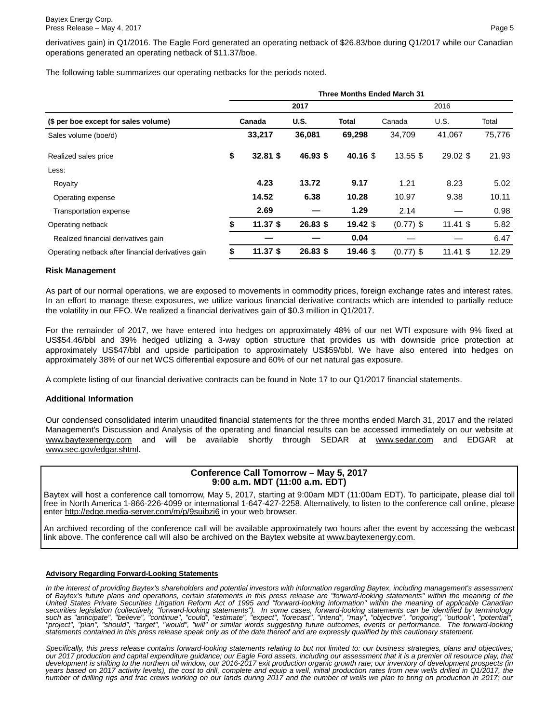derivatives gain) in Q1/2016. The Eagle Ford generated an operating netback of \$26.83/boe during Q1/2017 while our Canadian operations generated an operating netback of \$11.37/boe.

The following table summarizes our operating netbacks for the periods noted.

|                                                    | <b>Three Months Ended March 31</b> |            |             |            |             |            |        |  |
|----------------------------------------------------|------------------------------------|------------|-------------|------------|-------------|------------|--------|--|
|                                                    |                                    |            | 2017        | 2016       |             |            |        |  |
| (\$ per boe except for sales volume)               |                                    | Canada     | <b>U.S.</b> | Total      | Canada      | U.S.       | Total  |  |
| Sales volume (boe/d)                               |                                    | 33,217     | 36,081      | 69,298     | 34,709      | 41,067     | 75,776 |  |
| Realized sales price                               | \$                                 | $32.81$ \$ | $46.93$ \$  | 40.16 \$   | 13.55 \$    | $29.02$ \$ | 21.93  |  |
| Less:                                              |                                    |            |             |            |             |            |        |  |
| Royalty                                            |                                    | 4.23       | 13.72       | 9.17       | 1.21        | 8.23       | 5.02   |  |
| Operating expense                                  |                                    | 14.52      | 6.38        | 10.28      | 10.97       | 9.38       | 10.11  |  |
| Transportation expense                             |                                    | 2.69       |             | 1.29       | 2.14        |            | 0.98   |  |
| Operating netback                                  |                                    | $11.37$ \$ | $26.83$ \$  | $19.42$ \$ | $(0.77)$ \$ | $11.41$ \$ | 5.82   |  |
| Realized financial derivatives gain                |                                    |            |             | 0.04       |             |            | 6.47   |  |
| Operating netback after financial derivatives gain | \$                                 | $11.37$ \$ | 26.83 \$    | 19.46 \$   | $(0.77)$ \$ | $11.41$ \$ | 12.29  |  |

#### **Risk Management**

As part of our normal operations, we are exposed to movements in commodity prices, foreign exchange rates and interest rates. In an effort to manage these exposures, we utilize various financial derivative contracts which are intended to partially reduce the volatility in our FFO. We realized a financial derivatives gain of \$0.3 million in Q1/2017.

For the remainder of 2017, we have entered into hedges on approximately 48% of our net WTI exposure with 9% fixed at US\$54.46/bbl and 39% hedged utilizing a 3-way option structure that provides us with downside price protection at approximately US\$47/bbl and upside participation to approximately US\$59/bbl. We have also entered into hedges on approximately 38% of our net WCS differential exposure and 60% of our net natural gas exposure.

A complete listing of our financial derivative contracts can be found in Note 17 to our Q1/2017 financial statements.

#### **Additional Information**

Our condensed consolidated interim unaudited financial statements for the three months ended March 31, 2017 and the related Management's Discussion and Analysis of the operating and financial results can be accessed immediately on our website at www.baytexenergy.com and will be available shortly through SEDAR at www.sedar.com and EDGAR at www.sec.gov/edgar.shtml.

## **Conference Call Tomorrow – May 5, 2017 9:00 a.m. MDT (11:00 a.m. EDT)**

Baytex will host a conference call tomorrow, May 5, 2017, starting at 9:00am MDT (11:00am EDT). To participate, please dial toll free in North America 1-866-226-4099 or international 1-647-427-2258. Alternatively, to listen to the conference call online, please enter http://edge.media-server.com/m/p/9suibzi6 in your web browser.

An archived recording of the conference call will be available approximately two hours after the event by accessing the webcast link above. The conference call will also be archived on the Baytex website at www.baytexenergy.com.

#### **Advisory Regarding Forward-Looking Statements**

*In the interest of providing Baytex's shareholders and potential investors with information regarding Baytex, including management's assessment of Baytex's future plans and operations, certain statements in this press release are "forward-looking statements" within the meaning of the*  United States Private Securities Litigation Reform Act of 1995 and "forward-looking information" within the meaning of applicable Canadian<br>securities legislation (collectively, "forward-looking statements"). In some cases, *such as "anticipate", "believe", "continue", "could", "estimate", "expect", "forecast", "intend", "may", "objective", "ongoing", "outlook", "potential",*  "project", "plan", "should", "target", "would", "will" or similar words suggesting future outcomes, events or performance. The forward-looking<br>statements contained in this press release speak only as of the date thereof an

*Specifically, this press release contains forward-looking statements relating to but not limited to: our business strategies, plans and objectives; our 2017 production and capital expenditure guidance; our Eagle Ford assets, including our assessment that it is a premier oil resource play, that development is shifting to the northern oil window, our 2016-2017 exit production organic growth rate; our inventory of development prospects (in years based on 2017 activity levels), the cost to drill, complete and equip a well, initial production rates from new wells drilled in Q1/2017, the number of drilling rigs and frac crews working on our lands during 2017 and the number of wells we plan to bring on production in 2017; our*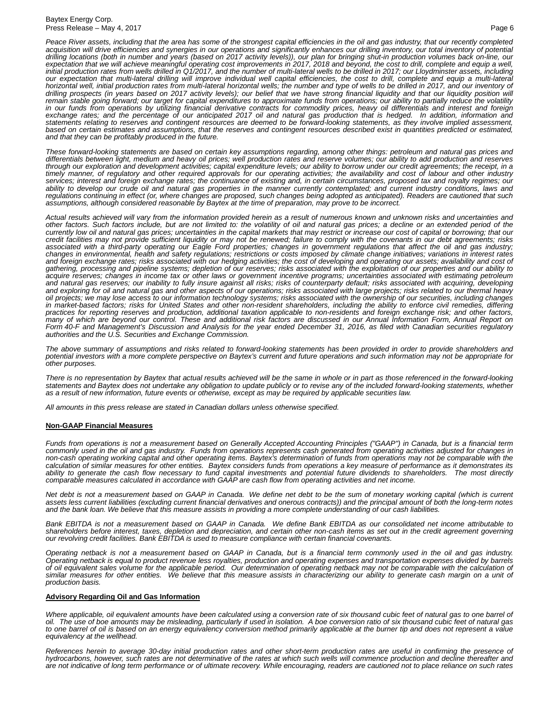*Peace River assets, including that the area has some of the strongest capital efficiencies in the oil and gas industry, that our recently completed acquisition will drive efficiencies and synergies in our operations and significantly enhances our drilling inventory, our total inventory of potential*  drilling locations (both in number and years (based on 2017 activity levels)), our plan for bringing shut-in production volumes back on-line, our<br>expectation that we will achieve meaningful operating cost improvements in 2 our expectation that multi-lateral drilling will improve individual well capital efficiencies, the cost to drill, complete and equip a multi-lateral<br>horizontal well, initial production rates from multi-lateral horizontal w drilling prospects (in years based on 2017 activity levels); our belief that we have strong financial liquidity and that our liquidity position will remain stable going forward; our target for capital expenditures to approximate funds from operations; our ability to partially reduce the volatility<br>in our funds from operations by utilizing financial derivative contracts *exchange rates; and the percentage of our anticipated 2017 oil and natural gas production that is hedged. In addition, information and*  statements relating to reserves and contingent resources are deemed to be forward-looking statements, as they involve implied assessment,<br>based on certain estimates and assumptions, that the reserves and contingent resourc *and that they can be profitably produced in the future.*

*These forward-looking statements are based on certain key assumptions regarding, among other things: petroleum and natural gas prices and differentials between light, medium and heavy oil prices; well production rates and reserve volumes; our ability to add production and reserves*  through our exploration and development activities; capital expenditure levels; our ability to borrow under our credit agreements; the receipt, in a<br>timely manner, of regulatory and other required approvals for our operati *services; interest and foreign exchange rates; the continuance of existing and, in certain circumstances, proposed tax and royalty regimes; our*  ability to develop our crude oil and natural gas properties in the manner currently contemplated; and current industry conditions, laws and<br>regulations continuing in effect (or, where changes are proposed, such changes bei *assumptions, although considered reasonable by Baytex at the time of preparation, may prove to be incorrect.*

*Actual results achieved will vary from the information provided herein as a result of numerous known and unknown risks and uncertainties and other factors. Such factors include, but are not limited to: the volatility of oil and natural gas prices; a decline or an extended period of the*  currently low oil and natural gas prices; uncertainties in the capital markets that may restrict or increase our cost of capital or borrowing; that our<br>credit facilities may not provide sufficient liquidity or may not be r *associated with a third-party operating our Eagle Ford properties; changes in government regulations that affect the oil and gas industry;*  changes in environmental, health and safety regulations; restrictions or costs imposed by climate change initiatives; variations in interest rates<br>and foreign exchange rates; risks associated with our hedging activities; t *gathering, processing and pipeline systems; depletion of our reserves; risks associated with the exploitation of our properties and our ability to*  acquire reserves; changes in income tax or other laws or government incentive programs; uncertainties associated with estimating petroleum<br>and natural gas reserves; our inability to fully insure against all risks; risks of *and exploring for oil and natural gas and other aspects of our operations; risks associated with large projects; risks related to our thermal heavy*  oil projects; we may lose access to our information technology systems; risks associated with the ownership of our securities, including changes<br>in market-based factors; risks for United States and other non-resident share *practices for reporting reserves and production, additional taxation applicable to non-residents and foreign exchange risk; and other factors,*  many of which are beyond our control. These and additional risk factors are discussed in our Annual Information Form, Annual Report on<br>Form 40-F and Management's Discussion and Analysis for the year ended December 31, 2016 *authorities and the U.S. Securities and Exchange Commission.*

*The above summary of assumptions and risks related to forward-looking statements has been provided in order to provide shareholders and potential investors with a more complete perspective on Baytex's current and future operations and such information may not be appropriate for other purposes.*

There is no representation by Baytex that actual results achieved will be the same in whole or in part as those referenced in the forward-looking *statements and Baytex does not undertake any obligation to update publicly or to revise any of the included forward-looking statements, whether as a result of new information, future events or otherwise, except as may be required by applicable securities law.*

*All amounts in this press release are stated in Canadian dollars unless otherwise specified.*

#### **Non-GAAP Financial Measures**

*Funds from operations is not a measurement based on Generally Accepted Accounting Principles ("GAAP") in Canada, but is a financial term*  non-cash operating working capital and other operating items. Baytex's determination of funds from operations may not be comparable with the *calculation of similar measures for other entities. Baytex considers funds from operations a key measure of performance as it demonstrates its*  ability to generate the cash flow necessary to fund capital investments and potential future dividends to shareholders. The most directly<br>comparable measures calculated in accordance with GAAP are cash flow from operating

*Net debt is not a measurement based on GAAP in Canada. We define net debt to be the sum of monetary working capital (which is current*  assets less current liabilities (excluding current financial derivatives and onerous contracts)) and the principal amount of both the long-term notes *and the bank loan. We believe that this measure assists in providing a more complete understanding of our cash liabilities.*

*Bank EBITDA is not a measurement based on GAAP in Canada. We define Bank EBITDA as our consolidated net income attributable to shareholders before interest, taxes, depletion and depreciation, and certain other non-cash items as set out in the credit agreement governing our revolving credit facilities. Bank EBITDA is used to measure compliance with certain financial covenants.*

*Operating netback is not a measurement based on GAAP in Canada, but is a financial term commonly used in the oil and gas industry. Operating netback is equal to product revenue less royalties, production and operating expenses and transportation expenses divided by barrels*  of oil equivalent sales volume for the applicable period. Our determination of operating netback may not be comparable with the calculation of *similar measures for other entities. We believe that this measure assists in characterizing our ability to generate cash margin on a unit of production basis.*

#### **Advisory Regarding Oil and Gas Information**

Where applicable, oil equivalent amounts have been calculated using a conversion rate of six thousand cubic feet of natural gas to one barrel of *oil. The use of boe amounts may be misleading, particularly if used in isolation. A boe conversion ratio of six thousand cubic feet of natural gas to one barrel of oil is based on an energy equivalency conversion method primarily applicable at the burner tip and does not represent a value equivalency at the wellhead.*

References herein to average 30-day initial production rates and other short-term production rates are useful in confirming the presence of<br>hydrocarbons, however, such rates are not determinative of the rates at which such *are not indicative of long term performance or of ultimate recovery. While encouraging, readers are cautioned not to place reliance on such rates*